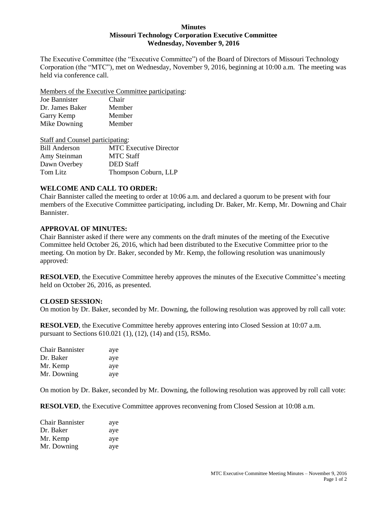#### **Minutes Missouri Technology Corporation Executive Committee Wednesday, November 9, 2016**

The Executive Committee (the "Executive Committee") of the Board of Directors of Missouri Technology Corporation (the "MTC"), met on Wednesday, November 9, 2016, beginning at 10:00 a.m. The meeting was held via conference call.

Members of the Executive Committee participating:

| Joe Bannister   | Chair  |
|-----------------|--------|
| Dr. James Baker | Member |
| Garry Kemp      | Member |
| Mike Downing    | Member |

| Staff and Counsel participating: |                               |  |
|----------------------------------|-------------------------------|--|
| <b>Bill Anderson</b>             | <b>MTC</b> Executive Director |  |
| Amy Steinman                     | <b>MTC Staff</b>              |  |
| Dawn Overbey                     | <b>DED</b> Staff              |  |
| Tom Litz                         | Thompson Coburn, LLP          |  |

# **WELCOME AND CALL TO ORDER:**

Chair Bannister called the meeting to order at 10:06 a.m. and declared a quorum to be present with four members of the Executive Committee participating, including Dr. Baker, Mr. Kemp, Mr. Downing and Chair Bannister.

### **APPROVAL OF MINUTES:**

Chair Bannister asked if there were any comments on the draft minutes of the meeting of the Executive Committee held October 26, 2016, which had been distributed to the Executive Committee prior to the meeting. On motion by Dr. Baker, seconded by Mr. Kemp, the following resolution was unanimously approved:

**RESOLVED**, the Executive Committee hereby approves the minutes of the Executive Committee's meeting held on October 26, 2016, as presented.

# **CLOSED SESSION:**

On motion by Dr. Baker, seconded by Mr. Downing, the following resolution was approved by roll call vote:

**RESOLVED**, the Executive Committee hereby approves entering into Closed Session at 10:07 a.m. pursuant to Sections 610.021 (1), (12), (14) and (15), RSMo.

| Chair Bannister | aye |
|-----------------|-----|
| Dr. Baker       | aye |
| Mr. Kemp        | aye |
| Mr. Downing     | aye |

On motion by Dr. Baker, seconded by Mr. Downing, the following resolution was approved by roll call vote:

**RESOLVED**, the Executive Committee approves reconvening from Closed Session at 10:08 a.m.

| Chair Bannister | aye |
|-----------------|-----|
| Dr. Baker       | aye |
| Mr. Kemp        | aye |
| Mr. Downing     | aye |